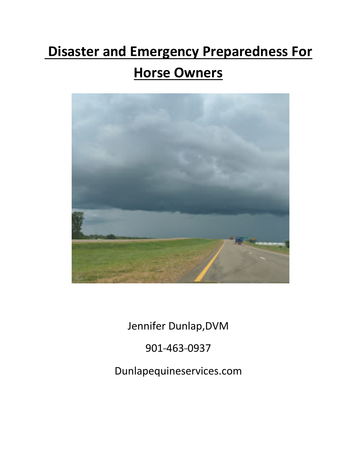# **Disaster and Emergency Preparedness For Horse Owners**



Jennifer Dunlap,DVM

901-463-0937

Dunlapequineservices.com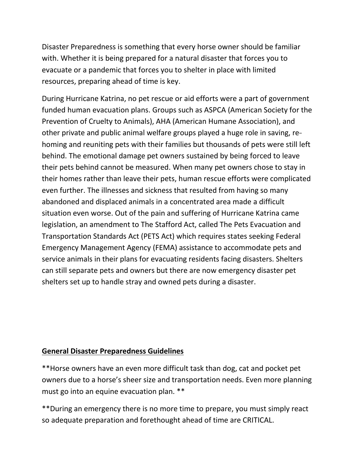Disaster Preparedness is something that every horse owner should be familiar with. Whether it is being prepared for a natural disaster that forces you to evacuate or a pandemic that forces you to shelter in place with limited resources, preparing ahead of time is key.

During Hurricane Katrina, no pet rescue or aid efforts were a part of government funded human evacuation plans. Groups such as ASPCA (American Society for the Prevention of Cruelty to Animals), AHA (American Humane Association), and other private and public animal welfare groups played a huge role in saving, re-homing and reuniting pets with their families but thousands of pets were still left behind. The emotional damage pet owners sustained by being forced to leave their pets behind cannot be measured. When many pet owners chose to stay in their homes rather than leave their pets, human rescue efforts were complicated even further. The illnesses and sickness that resulted from having so many abandoned and displaced animals in a concentrated area made a difficult situation even worse. Out of the pain and suffering of Hurricane Katrina came legislation, an amendment to The Stafford Act, called The Pets Evacuation and Transportation Standards Act (PETS Act) which requires states seeking Federal Emergency Management Agency (FEMA) assistance to accommodate pets and service animals in their plans for evacuating residents facing disasters. Shelters can still separate pets and owners but there are now emergency disaster pet shelters set up to handle stray and owned pets during a disaster.

#### **General Disaster Preparedness Guidelines**

\*\*Horse owners have an even more difficult task than dog, cat and pocket pet owners due to a horse's sheer size and transportation needs. Even more planning must go into an equine evacuation plan. \*\*

\*\*During an emergency there is no more time to prepare, you must simply react so adequate preparation and forethought ahead of time are CRITICAL.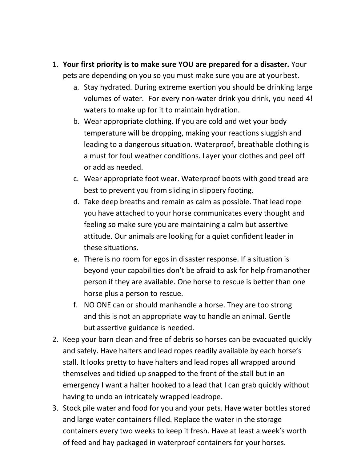- 1. **Your first priority is to make sure YOU are prepared for a disaster.** Your pets are depending on you so you must make sure you are at yourbest.
	- a. Stay hydrated. During extreme exertion you should be drinking large volumes of water. For every non-water drink you drink, you need 4! waters to make up for it to maintain hydration.
	- b. Wear appropriate clothing. If you are cold and wet your body temperature will be dropping, making your reactions sluggish and leading to a dangerous situation. Waterproof, breathable clothing is a must for foul weather conditions. Layer your clothes and peel off or add as needed.
	- c. Wear appropriate foot wear. Waterproof boots with good tread are best to prevent you from sliding in slippery footing.
	- d. Take deep breaths and remain as calm as possible. That lead rope you have attached to your horse communicates every thought and feeling so make sure you are maintaining a calm but assertive attitude. Our animals are looking for a quiet confident leader in these situations.
	- e. There is no room for egos in disaster response. If a situation is beyond your capabilities don't be afraid to ask for help fromanother person if they are available. One horse to rescue is better than one horse plus a person to rescue.
	- f. NO ONE can or should manhandle a horse. They are too strong and this is not an appropriate way to handle an animal. Gentle but assertive guidance is needed.
- 2. Keep your barn clean and free of debris so horses can be evacuated quickly and safely. Have halters and lead ropes readily available by each horse's stall. It looks pretty to have halters and lead ropes all wrapped around themselves and tidied up snapped to the front of the stall but in an emergency I want a halter hooked to a lead that I can grab quickly without having to undo an intricately wrapped leadrope.
- 3. Stock pile water and food for you and your pets. Have water bottles stored and large water containers filled. Replace the water in the storage containers every two weeks to keep it fresh. Have at least a week's worth of feed and hay packaged in waterproof containers for your horses.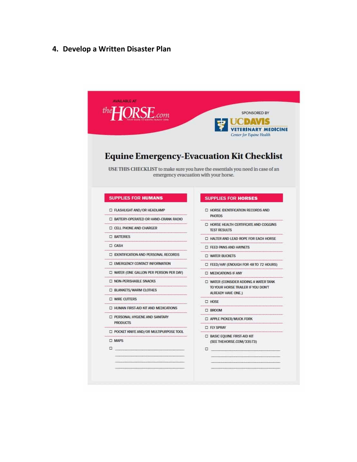### **4. Develop a Written Disaster Plan**

| $L_{com}$                                                                                                               | SPONSORED BY<br><b>TALE</b><br><b><i>FERINARY MEDICINE</i></b><br>Center for Equine Health |
|-------------------------------------------------------------------------------------------------------------------------|--------------------------------------------------------------------------------------------|
| USE THIS CHECKLIST to make sure you have the essentials you need in case of an<br>emergency evacuation with your horse. | <b>Equine Emergency-Evacuation Kit Checklist</b>                                           |
| <b>SUPPLIES FOR HUMANS</b>                                                                                              | <b>SUPPLIES FOR HORSES</b>                                                                 |
| <b>C FLASHLIGHT AND/OR HEADLAMP</b>                                                                                     | <b>E HORSE IDENTIFICATION RECORDS AND</b>                                                  |
| <b>C BATTERY-OPERATED OR HAND-CRANK RADIO</b>                                                                           | <b>PHOTOS</b>                                                                              |
| <b>C CELL PHONE AND CHARGER</b>                                                                                         | <b>E HORSE HEALTH CERTIFICATE AND COGGINS</b><br><b>TEST RESULTS</b>                       |
| <b>C BATTERIES</b>                                                                                                      | T HALTER AND LEAD ROPE FOR EACH HORSE                                                      |
| <b>D</b> CASH                                                                                                           | <b>E FEED PANS AND HAYNETS</b>                                                             |
| <b>E IDENTIFICATION AND PERSONAL RECORDS</b>                                                                            | <b>D WATER BUCKETS</b>                                                                     |
| <b>EXERGENCY CONTACT INFORMATION</b>                                                                                    | I FEED/HAY (ENOUGH FOR 48 TO 72 HOURS)                                                     |
| <b>C WATER (ONE GALLON PER PERSON PER DAY)</b>                                                                          | <b>E MEDICATIONS IF ANY</b>                                                                |
| <b>D NON-PERISHABLE SNACKS</b>                                                                                          | <b>E WATER (CONSIDER ADDING A WATER TANK</b>                                               |
| <b>C BLANKETS/WARM CLOTHES</b>                                                                                          | TO YOUR HORSE TRAILER IF YOU DON'T<br>ALREADY HAVE ONE.)                                   |
| <b>D</b> WIRE CUTTERS                                                                                                   | <b>D HOSE</b>                                                                              |
| <b>C HUMAN FIRST-AID KIT AND MEDICATIONS</b>                                                                            | <b>E BROOM</b>                                                                             |
| <b>D PERSONAL HYGIENE AND SANITARY</b>                                                                                  | <b>IZ APPLE PICKER/MUCK FORK</b>                                                           |
| <b>PRODUCTS</b>                                                                                                         | <b>D FLY SPRAY</b>                                                                         |
| D POCKET KNIFE AND/OR MULTIPURPOSE TOOL                                                                                 | <b>E BASIC EQUINE FIRST-AID KIT</b>                                                        |
| $\square$ MAPS                                                                                                          | (SEE THEHORSE.COM/33573)                                                                   |
|                                                                                                                         | α.                                                                                         |
| α.                                                                                                                      |                                                                                            |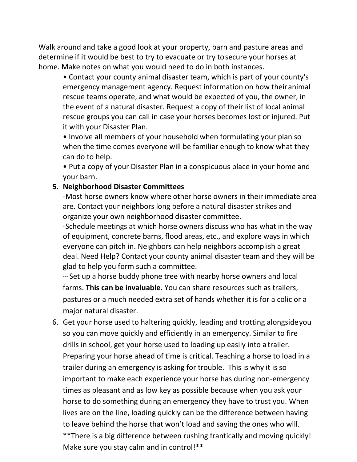Walk around and take a good look at your property, barn and pasture areas and determine if it would be best to try to evacuate or try tosecure your horses at home. Make notes on what you would need to do in both instances.

• Contact your county animal disaster team, which is part of your county's emergency management agency. Request information on how theiranimal rescue teams operate, and what would be expected of you, the owner, in the event of a natural disaster. Request a copy of their list of local animal rescue groups you can call in case your horses becomes lost or injured. Put it with your Disaster Plan.

• Involve all members of your household when formulating your plan so when the time comes everyone will be familiar enough to know what they can do to help.

• Put a copy of your Disaster Plan in a conspicuous place in your home and your barn.

#### **5. Neighborhood Disaster Committees**

---Most horse owners know where other horse owners in their immediate area are. Contact your neighbors long before a natural disaster strikes and organize your own neighborhood disaster committee.

-Schedule meetings at which horse owners discuss who has what in the way of equipment, concrete barns, flood areas, etc., and explore ways in which everyone can pitch in. Neighbors can help neighbors accomplish a great deal. Need Help? Contact your county animal disaster team and they will be glad to help you form such a committee.

--- Set up a horse buddy phone tree with nearby horse owners and local farms. **This can be invaluable.** You can share resources such as trailers, pastures or a much needed extra set of hands whether it is for a colic or a major natural disaster.

6. Get your horse used to haltering quickly, leading and trotting alongsideyou so you can move quickly and efficiently in an emergency. Similar to fire drills in school, get your horse used to loading up easily into a trailer. Preparing your horse ahead of time is critical. Teaching a horse to load in a trailer during an emergency is asking for trouble. This is why it is so important to make each experience your horse has during non-emergency times as pleasant and as low key as possible because when you ask your horse to do something during an emergency they have to trust you. When lives are on the line, loading quickly can be the difference between having to leave behind the horse that won't load and saving the ones who will. \*\*There is a big difference between rushing frantically and moving quickly! Make sure you stay calm and in control!\*\*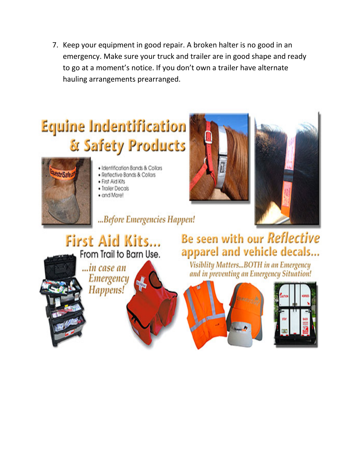7. Keep your equipment in good repair. A broken halter is no good in an emergency. Make sure your truck and trailer are in good shape and ready to go at a moment's notice. If you don't own a trailer have alternate hauling arrangements prearranged.

# **Equine Indentification** & Safety Products



- · Identification Bands & Collars
- · Reflective Bands & Collars
- · First Aid Kits
- · Trailer Decals
- · and More!





...Before Emergencies Happen!

### First Aid Kits... From Trail to Barn Use.



...in case an Emergency Happens!

## Be seen with our Reflective apparel and vehicle decals...

Visiblity Matters...BOTH in an Emergency and in preventing an Emergency Situation!



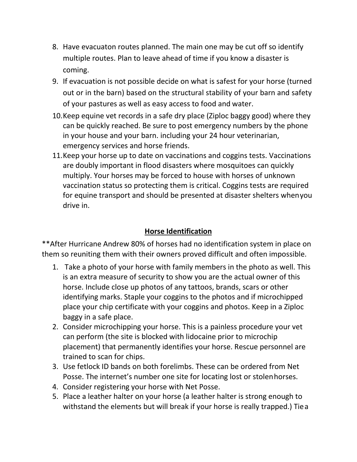- 8. Have evacuaton routes planned. The main one may be cut off so identify multiple routes. Plan to leave ahead of time if you know a disaster is coming.
- 9. If evacuation is not possible decide on what is safest for your horse (turned out or in the barn) based on the structural stability of your barn and safety of your pastures as well as easy access to food and water.
- 10.Keep equine vet records in a safe dry place (Ziploc baggy good) where they can be quickly reached. Be sure to post emergency numbers by the phone in your house and your barn. including your 24 hour veterinarian, emergency services and horse friends.
- 11.Keep your horse up to date on vaccinations and coggins tests. Vaccinations are doubly important in flood disasters where mosquitoes can quickly multiply. Your horses may be forced to house with horses of unknown vaccination status so protecting them is critical. Coggins tests are required for equine transport and should be presented at disaster shelters whenyou drive in.

#### **Horse Identification**

\*\*After Hurricane Andrew 80% of horses had no identification system in place on them so reuniting them with their owners proved difficult and often impossible.

- 1. Take a photo of your horse with family members in the photo as well. This is an extra measure of security to show you are the actual owner of this horse. Include close up photos of any tattoos, brands, scars or other identifying marks. Staple your coggins to the photos and if microchipped place your chip certificate with your coggins and photos. Keep in a Ziploc baggy in a safe place.
- 2. Consider microchipping your horse. This is a painless procedure your vet can perform (the site is blocked with lidocaine prior to microchip placement) that permanently identifies your horse. Rescue personnel are trained to scan for chips.
- 3. Use fetlock ID bands on both forelimbs. These can be ordered from Net Posse. The internet's number one site for locating lost or stolenhorses.
- 4. Consider registering your horse with Net Posse.
- 5. Place a leather halter on your horse (a leather halter is strong enough to withstand the elements but will break if your horse is really trapped.) Tiea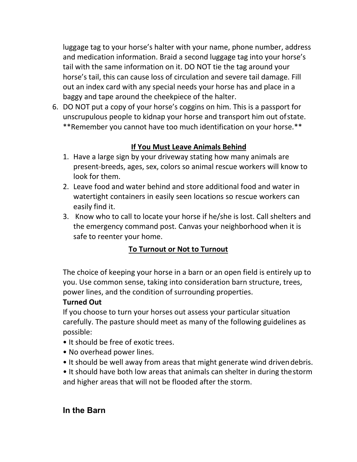luggage tag to your horse's halter with your name, phone number, address and medication information. Braid a second luggage tag into your horse's tail with the same information on it. DO NOT tie the tag around your horse's tail, this can cause loss of circulation and severe tail damage. Fill out an index card with any special needs your horse has and place in a baggy and tape around the cheekpiece of the halter.

6. DO NOT put a copy of your horse's coggins on him. This is a passport for unscrupulous people to kidnap your horse and transport him out ofstate. \*\*Remember you cannot have too much identification on your horse.\*\*

#### **If You Must Leave Animals Behind**

- 1. Have a large sign by your driveway stating how many animals are present-breeds, ages, sex, colors so animal rescue workers will know to look for them.
- 2. Leave food and water behind and store additional food and water in watertight containers in easily seen locations so rescue workers can easily find it.
- 3. Know who to call to locate your horse if he/she is lost. Call shelters and the emergency command post. Canvas your neighborhood when it is safe to reenter your home.

#### **To Turnout or Not to Turnout**

The choice of keeping your horse in a barn or an open field is entirely up to you. Use common sense, taking into consideration barn structure, trees, power lines, and the condition of surrounding properties.

#### **Turned Out**

If you choose to turn your horses out assess your particular situation carefully. The pasture should meet as many of the following guidelines as possible:

- It should be free of exotic trees.
- No overhead power lines.
- It should be well away from areas that might generate wind drivendebris.
- It should have both low areas that animals can shelter in during thestorm and higher areas that will not be flooded after the storm.

#### **In the Barn**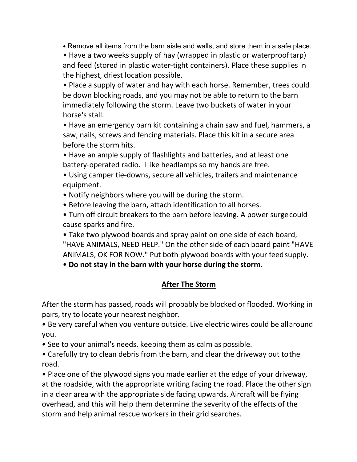• Remove all items from the barn aisle and walls, and store them in a safe place.

• Have a two weeks supply of hay (wrapped in plastic or waterprooftarp) and feed (stored in plastic water-tight containers). Place these supplies in the highest, driest location possible.

• Place a supply of water and hay with each horse. Remember, trees could be down blocking roads, and you may not be able to return to the barn immediately following the storm. Leave two buckets of water in your horse's stall.

• Have an emergency barn kit containing a chain saw and fuel, hammers, a saw, nails, screws and fencing materials. Place this kit in a secure area before the storm hits.

• Have an ample supply of flashlights and batteries, and at least one battery-operated radio. I like headlamps so my hands are free.

- Using camper tie-downs, secure all vehicles, trailers and maintenance equipment.
- Notify neighbors where you will be during the storm.
- Before leaving the barn, attach identification to all horses.
- Turn off circuit breakers to the barn before leaving. A power surgecould cause sparks and fire.

• Take two plywood boards and spray paint on one side of each board, "HAVE ANIMALS, NEED HELP." On the other side of each board paint "HAVE ANIMALS, OK FOR NOW." Put both plywood boards with your feedsupply.

• **Do not stay in the barn with your horse during the storm.**

#### **After The Storm**

After the storm has passed, roads will probably be blocked or flooded. Working in pairs, try to locate your nearest neighbor.

• Be very careful when you venture outside. Live electric wires could be allaround you.

- See to your animal's needs, keeping them as calm as possible.
- Carefully try to clean debris from the barn, and clear the driveway out tothe road.

• Place one of the plywood signs you made earlier at the edge of your driveway, at the roadside, with the appropriate writing facing the road. Place the other sign in a clear area with the appropriate side facing upwards. Aircraft will be flying overhead, and this will help them determine the severity of the effects of the storm and help animal rescue workers in their grid searches.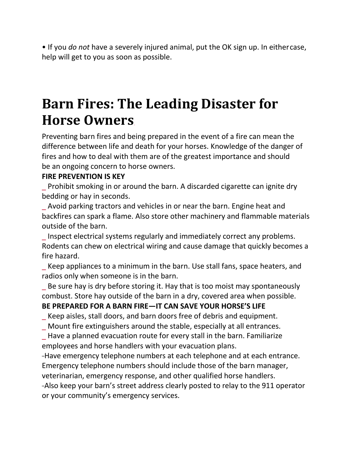• If you *do not* have a severely injured animal, put the OK sign up. In eithercase, help will get to you as soon as possible.

## **Barn Fires: The Leading Disaster for Horse Owners**\_

Preventing barn fires and being prepared in the event of a fire can mean the difference between life and death for your horses. Knowledge of the danger of fires and how to deal with them are of the greatest importance and should be an ongoing concern to horse owners.

#### **FIRE PREVENTION IS KEY**

\_ Prohibit smoking in or around the barn. A discarded cigarette can ignite dry bedding or hay in seconds.

\_ Avoid parking tractors and vehicles in or near the barn. Engine heat and backfires can spark a flame. Also store other machinery and flammable materials outside of the barn.

\_ Inspect electrical systems regularly and immediately correct any problems. Rodents can chew on electrical wiring and cause damage that quickly becomes a fire hazard.

\_ Keep appliances to a minimum in the barn. Use stall fans, space heaters, and radios only when someone is in the barn.

Be sure hay is dry before storing it. Hay that is too moist may spontaneously combust. Store hay outside of the barn in a dry, covered area when possible.

#### **BE PREPARED FOR A BARN FIRE—IT CAN SAVE YOUR HORSE'S LIFE**

\_ Keep aisles, stall doors, and barn doors free of debris and equipment.

\_ Mount fire extinguishers around the stable, especially at all entrances.

\_ Have a planned evacuation route for every stall in the barn. Familiarize employees and horse handlers with your evacuation plans.

--Have emergency telephone numbers at each telephone and at each entrance. Emergency telephone numbers should include those of the barn manager,

veterinarian, emergency response, and other qualified horse handlers.

--Also keep your barn's street address clearly posted to relay to the 911 operator or your community's emergency services.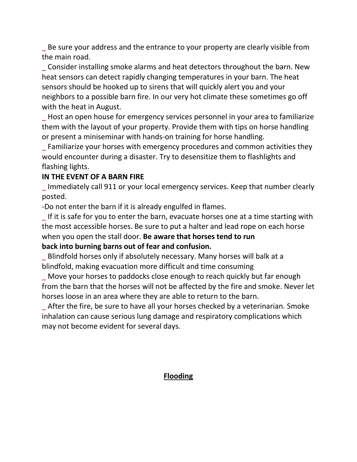\_ Be sure your address and the entrance to your property are clearly visible from the main road.

\_ Consider installing smoke alarms and heat detectors throughout the barn. New heat sensors can detect rapidly changing temperatures in your barn. The heat sensors should be hooked up to sirens that will quickly alert you and your neighbors to a possible barn fire. In our very hot climate these sometimes go off with the heat in August.

\_ Host an open house for emergency services personnel in your area to familiarize them with the layout of your property. Provide them with tips on horse handling or present a miniseminar with hands-on training for horse handling.

\_ Familiarize your horses with emergency procedures and common activities they would encounter during a disaster. Try to desensitize them to flashlights and flashing lights.

#### **IN THE EVENT OF A BARN FIRE**

Immediately call 911 or your local emergency services. Keep that number clearly posted.

-Do not enter the barn if it is already engulfed in flames.

If it is safe for you to enter the barn, evacuate horses one at a time starting with the most accessible horses. Be sure to put a halter and lead rope on each horse when you open the stall door. **Be aware that horses tend to run back into burning barns out of fear and confusion.**

\_ Blindfold horses only if absolutely necessary. Many horses will balk at a blindfold, making evacuation more difficult and time consuming

\_ Move your horses to paddocks close enough to reach quickly but far enough from the barn that the horses will not be affected by the fire and smoke. Never let horses loose in an area where they are able to return to the barn.

After the fire, be sure to have all your horses checked by a veterinarian. Smoke inhalation can cause serious lung damage and respiratory complications which may not become evident for several days.

#### **Flooding**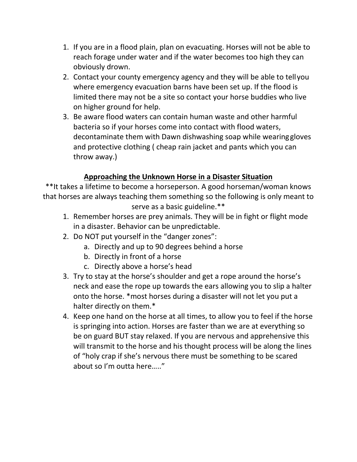- 1. If you are in a flood plain, plan on evacuating. Horses will not be able to reach forage under water and if the water becomes too high they can obviously drown.
- 2. Contact your county emergency agency and they will be able to tellyou where emergency evacuation barns have been set up. If the flood is limited there may not be a site so contact your horse buddies who live on higher ground for help.
- 3. Be aware flood waters can contain human waste and other harmful bacteria so if your horses come into contact with flood waters, decontaminate them with Dawn dishwashing soap while wearinggloves and protective clothing ( cheap rain jacket and pants which you can throw away.)

#### **Approaching the Unknown Horse in a Disaster Situation**

\*\*It takes a lifetime to become a horseperson. A good horseman/woman knows that horses are always teaching them something so the following is only meant to serve as a basic guideline.\*\*

- 1. Remember horses are prey animals. They will be in fight or flight mode in a disaster. Behavior can be unpredictable.
- 2. Do NOT put yourself in the "danger zones":
	- a. Directly and up to 90 degrees behind a horse
	- b. Directly in front of a horse
	- c. Directly above a horse's head
- 3. Try to stay at the horse's shoulder and get a rope around the horse's neck and ease the rope up towards the ears allowing you to slip a halter onto the horse. \*most horses during a disaster will not let you put a halter directly on them.\*
- 4. Keep one hand on the horse at all times, to allow you to feel if the horse is springing into action. Horses are faster than we are at everything so be on guard BUT stay relaxed. If you are nervous and apprehensive this will transmit to the horse and his thought process will be along the lines of "holy crap if she's nervous there must be something to be scared about so I'm outta here….."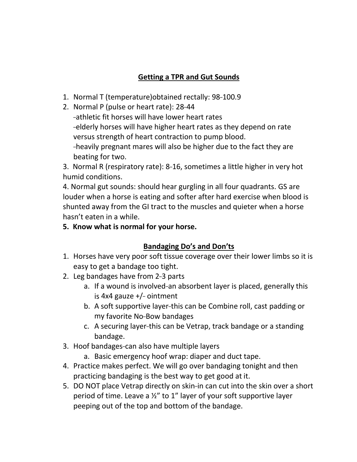#### **Getting a TPR and Gut Sounds**

- 1. Normal T (temperature) obtained rectally: 98-100.9
- 2. Normal P (pulse or heart rate): 28-44 -athletic fit horses will have lower heart rates --elderly horses will have higher heart rates as they depend on rate versus strength of heart contraction to pump blood. -heavily pregnant mares will also be higher due to the fact they are beating for two.

3. Normal R (respiratory rate): 8-16, sometimes a little higher in very hot humid conditions.

4. Normal gut sounds: should hear gurgling in all four quadrants. GS are louder when a horse is eating and softer after hard exercise when blood is shunted away from the GI tract to the muscles and quieter when a horse hasn't eaten in a while.

#### **5. Know what is normal for your horse.**

#### **Bandaging Do's and Don'ts**

- 1. Horses have very poor soft tissue coverage over their lower limbs so it is easy to get a bandage too tight.
- 2. Leg bandages have from  $2-3$  parts
	- a. If a wound is involved-an absorbent layer is placed, generally this is  $4x4$  gauze  $+/-$  ointment
	- b. A soft supportive layer-this can be Combine roll, cast padding or my favorite No-Bow bandages
	- c. A securing layer-this can be Vetrap, track bandage or a standing bandage.
- 3. Hoof bandages-can also have multiple layers
	- a. Basic emergency hoof wrap: diaper and duct tape.
- 4. Practice makes perfect. We will go over bandaging tonight and then practicing bandaging is the best way to get good at it.
- 5. DO NOT place Vetrap directly on skin-in can cut into the skin over a short period of time. Leave a ½" to 1" layer of your soft supportive layer peeping out of the top and bottom of the bandage.